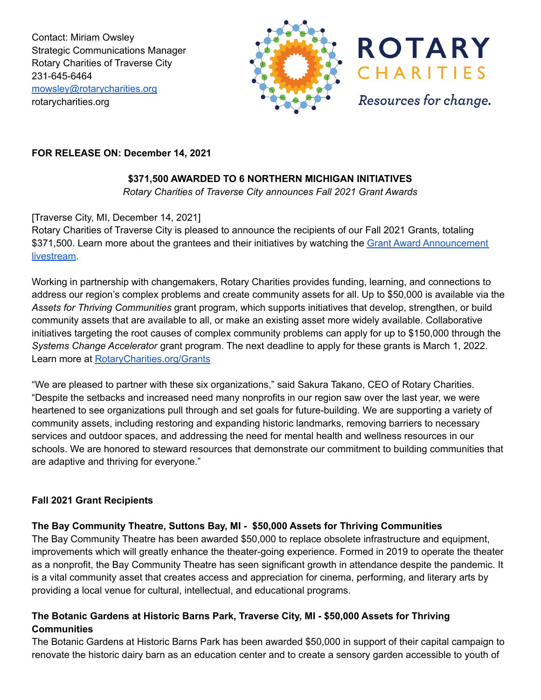Contact: Miriam Owsley Strategic Communications Manager Rotary Charities of Traverse City 231-645-6464 [mowsley@rotarycharities.org](mailto:mowsley@rotarycharities.org) rotarycharities.org





Resources for change.

## **FOR RELEASE ON: December 14, 2021**

# **\$371,500 AWARDED TO 6 NORTHERN MICHIGAN INITIATIVES**

*Rotary Charities of Traverse City announces Fall 2021 Grant Awards*

## [Traverse City, MI, December 14, 2021]

Rotary Charities of Traverse City is pleased to announce the recipients of our Fall 2021 Grants, totaling \$371,500. Learn more about the grantees and their initiatives by watching the Grant Award [Announcement](https://fb.me/e/1w4cocrP1) [livestream](https://fb.me/e/1w4cocrP1).

Working in partnership with changemakers, Rotary Charities provides funding, learning, and connections to address our region's complex problems and create community assets for all. Up to \$50,000 is available via the *Assets for Thriving Communities* grant program, which supports initiatives that develop, strengthen, or build community assets that are available to all, or make an existing asset more widely available. Collaborative initiatives targeting the root causes of complex community problems can apply for up to \$150,000 through the *Systems Change Accelerator* grant program. The next deadline to apply for these grants is March 1, 2022. Learn more at [RotaryCharities.org/Grants](https://www.rotarycharities.org/grants-investments/grant-types)

"We are pleased to partner with these six organizations," said Sakura Takano, CEO of Rotary Charities. "Despite the setbacks and increased need many nonprofits in our region saw over the last year, we were heartened to see organizations pull through and set goals for future-building. We are supporting a variety of community assets, including restoring and expanding historic landmarks, removing barriers to necessary services and outdoor spaces, and addressing the need for mental health and wellness resources in our schools. We are honored to steward resources that demonstrate our commitment to building communities that are adaptive and thriving for everyone."

#### **Fall 2021 Grant Recipients**

#### **The Bay Community Theatre, Suttons Bay, MI - \$50,000 Assets for Thriving Communities**

The Bay Community Theatre has been awarded \$50,000 to replace obsolete infrastructure and equipment, improvements which will greatly enhance the theater-going experience. Formed in 2019 to operate the theater as a nonprofit, the Bay Community Theatre has seen significant growth in attendance despite the pandemic. It is a vital community asset that creates access and appreciation for cinema, performing, and literary arts by providing a local venue for cultural, intellectual, and educational programs.

## **The Botanic Gardens at Historic Barns Park, Traverse City, MI - \$50,000 Assets for Thriving Communities**

The Botanic Gardens at Historic Barns Park has been awarded \$50,000 in support of their capital campaign to renovate the historic dairy barn as an education center and to create a sensory garden accessible to youth of